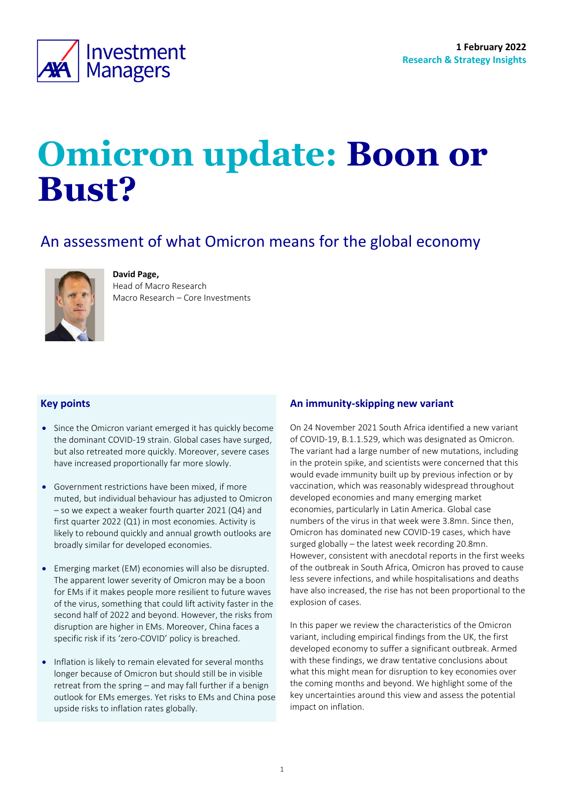

# **Omicron update: Boon or Bust?**

# An assessment of what Omicron means for the global economy



**David Page,**  Head of Macro Research

Macro Research – Core Investments

# **Key points**

- Since the Omicron variant emerged it has quickly become the dominant COVID-19 strain. Global cases have surged, but also retreated more quickly. Moreover, severe cases have increased proportionally far more slowly.
- Government restrictions have been mixed, if more muted, but individual behaviour has adjusted to Omicron – so we expect a weaker fourth quarter 2021 (Q4) and first quarter 2022 (Q1) in most economies. Activity is likely to rebound quickly and annual growth outlooks are broadly similar for developed economies.
- Emerging market (EM) economies will also be disrupted. The apparent lower severity of Omicron may be a boon for EMs if it makes people more resilient to future waves of the virus, something that could lift activity faster in the second half of 2022 and beyond. However, the risks from disruption are higher in EMs. Moreover, China faces a specific risk if its 'zero-COVID' policy is breached.
- Inflation is likely to remain elevated for several months longer because of Omicron but should still be in visible retreat from the spring – and may fall further if a benign outlook for EMs emerges. Yet risks to EMs and China pose upside risks to inflation rates globally.

# <span id="page-0-0"></span>**An immunity-skipping new variant**

On 24 November 2021 South Africa identified a new variant of COVID-19, B.1.1.529, which was designated as Omicron. The variant had a large number of new mutations, including in the protein spike, and scientists were concerned that this would evade immunity built up by previous infection or by vaccination, which was reasonably widespread throughout developed economies and many emerging market economies, particularly in Latin America. Global case numbers of the virus in that week were 3.8mn. Since then, Omicron has dominated new COVID-19 cases, which have surged globally – the latest week recording 20.8mn. However, consistent with anecdotal reports in the first weeks of the outbreak in South Africa, Omicron has proved to cause less severe infections, and while hospitalisations and deaths have also increased, the rise has not been proportional to the explosion of cases.

In this paper we review the characteristics of the Omicron variant, including empirical findings from the UK, the first developed economy to suffer a significant outbreak. Armed with these findings, we draw tentative conclusions about what this might mean for disruption to key economies over the coming months and beyond. We highlight some of the key uncertainties around this view and assess the potential impact on inflation.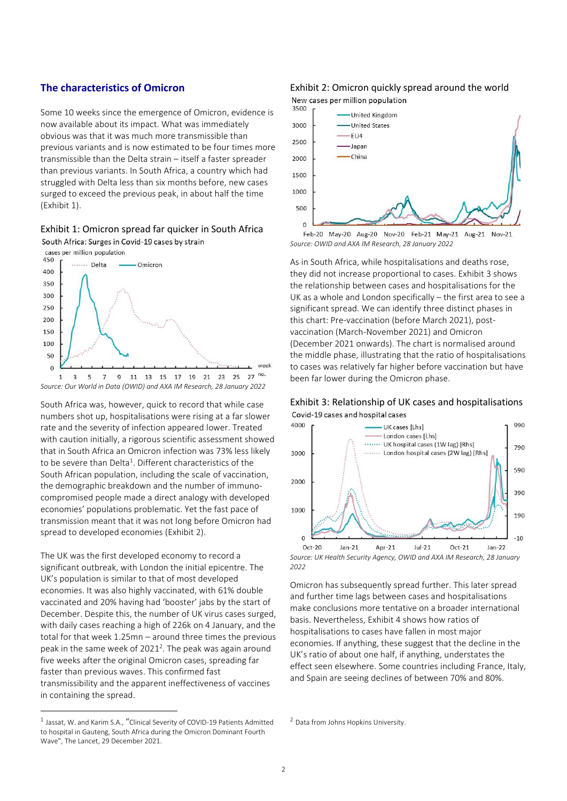# **The characteristics of Omicron**

Some 10 weeks since the emergence of Omicron, evidence is now available about its impact. What was immediately obvious was that it was much more transmissible than previous variants and is now estimated to be four times more transmissible than the Delta strain – itself a faster spreader than previous variants. In South Africa, a country which had struggled with Delta less than six months before, new cases surged to exceed the previous peak, in about half the time [\(Exhibit 1\)](#page-1-0).

### <span id="page-1-0"></span>Exhibit 1: Omicron spread far quicker in South Africa



South Africa was, however, quick to record that while case numbers shot up, hospitalisations were rising at a far slower rate and the severity of infection appeared lower. Treated with caution initially, a rigorous scientific assessment showed that in South Africa an Omicron infection was 73% less likely to be severe than Delta<sup>1</sup>. Different characteristics of the South African population, including the scale of vaccination, the demographic breakdown and the number of immunocompromised people made a direct analogy with developed economies' populations problematic. Yet the fast pace of transmission meant that it was not long before Omicron had spread to developed economies [\(Exhibit 2\)](#page-1-1).

The UK was the first developed economy to record a significant outbreak, with London the initial epicentre. The UK's population is similar to that of most developed economies. It was also highly vaccinated, with 61% double vaccinated and 20% having had 'booster' jabs by the start of December. Despite this, the number of UK virus cases surged, with daily cases reaching a high of 226k on 4 January, and the total for that week 1.25mn – around three times the previous peak in the same week of 2021<sup>2</sup>. The peak was again around five weeks after the original Omicron cases, spreading far faster than previous waves. This confirmed fast transmissibility and the apparent ineffectiveness of vaccines in containing the spread.

# <span id="page-1-1"></span>Exhibit 2: Omicron quickly spread around the world

New cases per million population



Feb-20 May-20 Aug-20 Nov-20 Feb-21 May-21 Aug-21 Nov-21 *Source: OWID and AXA IM Research, 28 January 2022*

As in South Africa, while hospitalisations and deaths rose, they did not increase proportional to cases[. Exhibit 3](#page-1-2) shows the relationship between cases and hospitalisations for the UK as a whole and London specifically – the first area to see a significant spread. We can identify three distinct phases in this chart: Pre-vaccination (before March 2021), postvaccination (March-November 2021) and Omicron (December 2021 onwards). The chart is normalised around the middle phase, illustrating that the ratio of hospitalisations to cases was relatively far higher before vaccination but have been far lower during the Omicron phase.

<span id="page-1-2"></span>



*Source: UK Health Security Agency, OWID and AXA IM Research, 28 January 2022*

Omicron has subsequently spread further. This later spread and further time lags between cases and hospitalisations make conclusions more tentative on a broader international basis. Nevertheless[, Exhibit 4](#page-2-0) shows how ratios of hospitalisations to cases have fallen in most major economies. If anything, these suggest that the decline in the UK's ratio of about one half, if anything, understates the effect seen elsewhere. Some countries including France, Italy, and Spain are seeing declines of between 70% and 80%.

 $^1$  Jassat, W. and Karim S.A., "Clinical Severity of COVID-19 Patients Admitted to hospital in Gauteng, South Africa during the Omicron Dominant Fourth Wave", The Lancet, 29 December 2021.

<sup>2</sup> Data from Johns Hopkins University.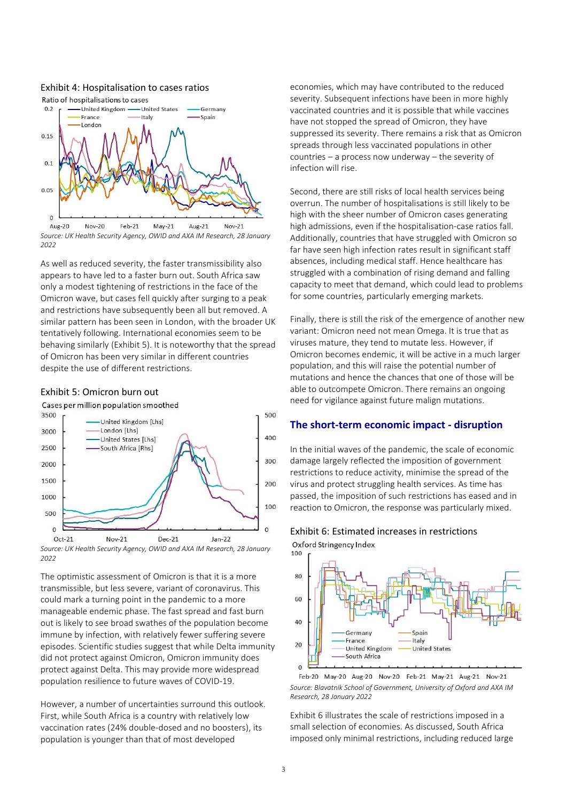

#### <span id="page-2-0"></span>Exhibit 4: Hospitalisation to cases ratios

*Source: UK Health Security Agency, OWID and AXA IM Research, 28 January 2022*

As well as reduced severity, the faster transmissibility also appears to have led to a faster burn out. South Africa saw only a modest tightening of restrictions in the face of the Omicron wave, but cases fell quickly after surging to a peak and restrictions have subsequently been all but removed. A similar pattern has been seen in London, with the broader UK tentatively following. International economies seem to be behaving similarly [\(Exhibit 5\)](#page-2-1). It is noteworthy that the spread of Omicron has been very similar in different countries despite the use of different restrictions.

### <span id="page-2-1"></span>Exhibit 5: Omicron burn out

Cases per million population smoothed





The optimistic assessment of Omicron is that it is a more transmissible, but less severe, variant of coronavirus. This could mark a turning point in the pandemic to a more manageable endemic phase. The fast spread and fast burn out is likely to see broad swathes of the population become immune by infection, with relatively fewer suffering severe episodes. Scientific studies suggest that while Delta immunity did not protect against Omicron, Omicron immunity does protect against Delta. This may provide more widespread population resilience to future waves of COVID-19.

However, a number of uncertainties surround this outlook. First, while South Africa is a country with relatively low vaccination rates (24% double-dosed and no boosters), its population is younger than that of most developed

economies, which may have contributed to the reduced severity. Subsequent infections have been in more highly vaccinated countries and it is possible that while vaccines have not stopped the spread of Omicron, they have suppressed its severity. There remains a risk that as Omicron spreads through less vaccinated populations in other countries – a process now underway – the severity of infection will rise.

Second, there are still risks of local health services being overrun. The number of hospitalisations is still likely to be high with the sheer number of Omicron cases generating high admissions, even if the hospitalisation-case ratios fall. Additionally, countries that have struggled with Omicron so far have seen high infection rates result in significant staff absences, including medical staff. Hence healthcare has struggled with a combination of rising demand and falling capacity to meet that demand, which could lead to problems for some countries, particularly emerging markets.

Finally, there is still the risk of the emergence of another new variant: Omicron need not mean Omega. It is true that as viruses mature, they tend to mutate less. However, if Omicron becomes endemic, it will be active in a much larger population, and this will raise the potential number of mutations and hence the chances that one of those will be able to outcompete Omicron. There remains an ongoing need for vigilance against future malign mutations.

### **The short-term economic impact - disruption**

In the initial waves of the pandemic, the scale of economic damage largely reflected the imposition of government restrictions to reduce activity, minimise the spread of the virus and protect struggling health services. As time has passed, the imposition of such restrictions has eased and in reaction to Omicron, the response was particularly mixed.

# <span id="page-2-2"></span>Exhibit 6: Estimated increases in restrictions



Feb-20 May-20 Aug-20 Nov-20 Feb-21 May-21 Aug-21 Nov-21 *Source: Blavatnik School of Government, University of Oxford and AXA IM Research, 28 January 2022*

[Exhibit 6](#page-2-2) illustrates the scale of restrictions imposed in a small selection of economies. As discussed, South Africa imposed only minimal restrictions, including reduced large

 $\Omega$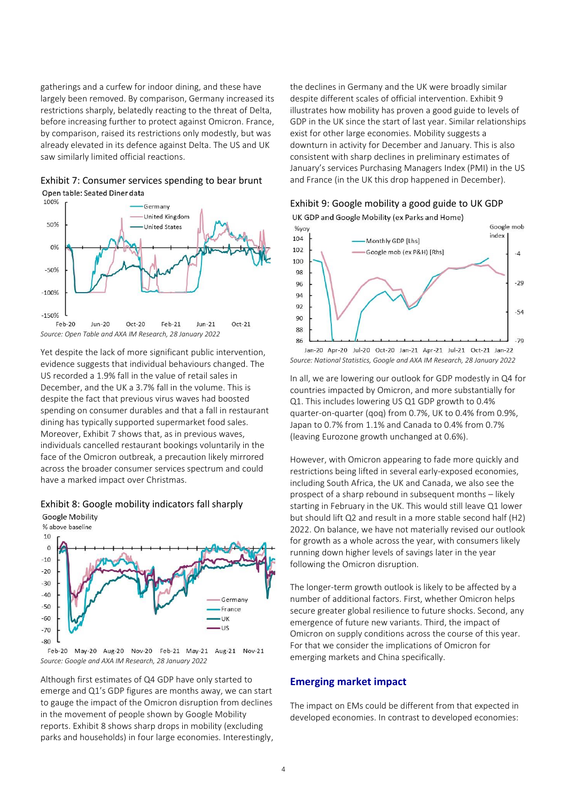gatherings and a curfew for indoor dining, and these have largely been removed. By comparison, Germany increased its restrictions sharply, belatedly reacting to the threat of Delta, before increasing further to protect against Omicron. France, by comparison, raised its restrictions only modestly, but was already elevated in its defence against Delta. The US and UK saw similarly limited official reactions.

<span id="page-3-0"></span>Exhibit 7: Consumer services spending to bear brunt Open table: Seated Diner data



Yet despite the lack of more significant public intervention, evidence suggests that individual behaviours changed. The US recorded a 1.9% fall in the value of retail sales in December, and the UK a 3.7% fall in the volume. This is despite the fact that previous virus waves had boosted spending on consumer durables and that a fall in restaurant dining has typically supported supermarket food sales. Moreover, [Exhibit 7](#page-3-0) shows that, as in previous waves, individuals cancelled restaurant bookings voluntarily in the face of the Omicron outbreak, a precaution likely mirrored across the broader consumer services spectrum and could have a marked impact over Christmas.

### <span id="page-3-1"></span>Exhibit 8: Google mobility indicators fall sharply

**Google Mobility** % above baseline 10  $\mathbf 0$  $-10$  $-20$  $-30$  $-40$ Germany  $-50$ France  $-60$  $11K$  $-US$  $-70$  $-80$ 

Feb-20 May-20 Aug-20 Nov-20 Feb-21 May-21 Aug-21 Nov-21 *Source: Google and AXA IM Research, 28 January 2022*

Although first estimates of Q4 GDP have only started to emerge and Q1's GDP figures are months away, we can start to gauge the impact of the Omicron disruption from declines in the movement of people shown by Google Mobility reports[. Exhibit 8](#page-3-1) shows sharp drops in mobility (excluding parks and households) in four large economies. Interestingly, the declines in Germany and the UK were broadly similar despite different scales of official intervention. [Exhibit 9](#page-3-2) illustrates how mobility has proven a good guide to levels of GDP in the UK since the start of last year. Similar relationships exist for other large economies. Mobility suggests a downturn in activity for December and January. This is also consistent with sharp declines in preliminary estimates of January's services Purchasing Managers Index (PMI) in the US and France (in the UK this drop happened in December).

# <span id="page-3-2"></span>Exhibit 9: Google mobility a good guide to UK GDP



*Source: National Statistics, Google and AXA IM Research, 28 January 2022*

In all, we are lowering our outlook for GDP modestly in Q4 for countries impacted by Omicron, and more substantially for Q1. This includes lowering US Q1 GDP growth to 0.4% quarter-on-quarter (qoq) from 0.7%, UK to 0.4% from 0.9%, Japan to 0.7% from 1.1% and Canada to 0.4% from 0.7% (leaving Eurozone growth unchanged at 0.6%).

However, with Omicron appearing to fade more quickly and restrictions being lifted in several early-exposed economies, including South Africa, the UK and Canada, we also see the prospect of a sharp rebound in subsequent months – likely starting in February in the UK. This would still leave Q1 lower but should lift Q2 and result in a more stable second half (H2) 2022. On balance, we have not materially revised our outlook for growth as a whole across the year, with consumers likely running down higher levels of savings later in the year following the Omicron disruption.

The longer-term growth outlook is likely to be affected by a number of additional factors. First, whether Omicron helps secure greater global resilience to future shocks. Second, any emergence of future new variants. Third, the impact of Omicron on supply conditions across the course of this year. For that we consider the implications of Omicron for emerging markets and China specifically.

### **Emerging market impact**

The impact on EMs could be different from that expected in developed economies. In contrast to developed economies: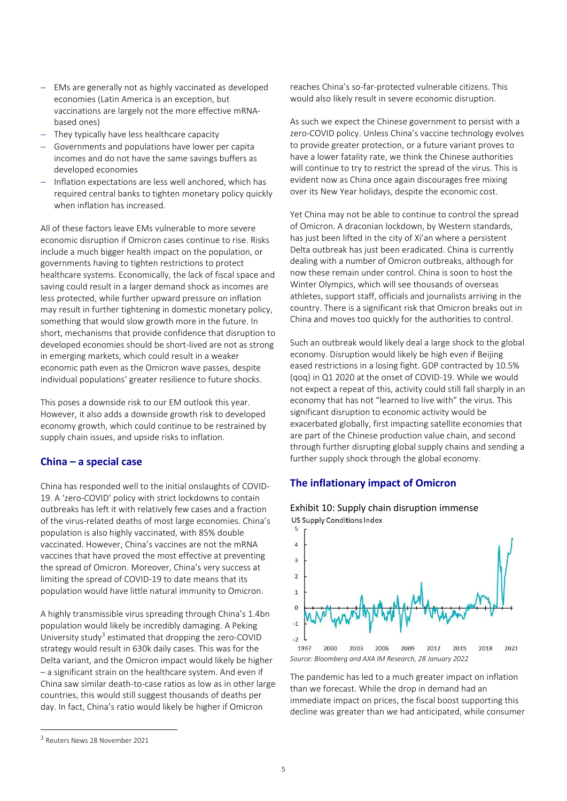- − EMs are generally not as highly vaccinated as developed economies (Latin America is an exception, but vaccinations are largely not the more effective mRNAbased ones)
- − They typically have less healthcare capacity
- − Governments and populations have lower per capita incomes and do not have the same savings buffers as developed economies
- − Inflation expectations are less well anchored, which has required central banks to tighten monetary policy quickly when inflation has increased.

All of these factors leave EMs vulnerable to more severe economic disruption if Omicron cases continue to rise. Risks include a much bigger health impact on the population, or governments having to tighten restrictions to protect healthcare systems. Economically, the lack of fiscal space and saving could result in a larger demand shock as incomes are less protected, while further upward pressure on inflation may result in further tightening in domestic monetary policy, something that would slow growth more in the future. In short, mechanisms that provide confidence that disruption to developed economies should be short-lived are not as strong in emerging markets, which could result in a weaker economic path even as the Omicron wave passes, despite individual populations' greater resilience to future shocks.

This poses a downside risk to our EM outlook this year. However, it also adds a downside growth risk to developed economy growth, which could continue to be restrained by supply chain issues, and upside risks to inflation.

# **China – a special case**

China has responded well to the initial onslaughts of COVID-19. A 'zero-COVID' policy with strict lockdowns to contain outbreaks has left it with relatively few cases and a fraction of the virus-related deaths of most large economies. China's population is also highly vaccinated, with 85% double vaccinated. However, China's vaccines are not the mRNA vaccines that have proved the most effective at preventing the spread of Omicron. Moreover, China's very success at limiting the spread of COVID-19 to date means that its population would have little natural immunity to Omicron.

A highly transmissible virus spreading through China's 1.4bn population would likely be incredibly damaging. A Peking University study<sup>3</sup> estimated that dropping the zero-COVID strategy would result in 630k daily cases. This was for the Delta variant, and the Omicron impact would likely be higher – a significant strain on the healthcare system. And even if China saw similar death-to-case ratios as low as in other large countries, this would still suggest thousands of deaths per day. In fact, China's ratio would likely be higher if Omicron

reaches China's so-far-protected vulnerable citizens. This would also likely result in severe economic disruption.

As such we expect the Chinese government to persist with a zero-COVID policy. Unless China's vaccine technology evolves to provide greater protection, or a future variant proves to have a lower fatality rate, we think the Chinese authorities will continue to try to restrict the spread of the virus. This is evident now as China once again discourages free mixing over its New Year holidays, despite the economic cost.

Yet China may not be able to continue to control the spread of Omicron. A draconian lockdown, by Western standards, has just been lifted in the city of Xi'an where a persistent Delta outbreak has just been eradicated. China is currently dealing with a number of Omicron outbreaks, although for now these remain under control. China is soon to host the Winter Olympics, which will see thousands of overseas athletes, support staff, officials and journalists arriving in the country. There is a significant risk that Omicron breaks out in China and moves too quickly for the authorities to control.

Such an outbreak would likely deal a large shock to the global economy. Disruption would likely be high even if Beijing eased restrictions in a losing fight. GDP contracted by 10.5% (qoq) in Q1 2020 at the onset of COVID-19. While we would not expect a repeat of this, activity could still fall sharply in an economy that has not "learned to live with" the virus. This significant disruption to economic activity would be exacerbated globally, first impacting satellite economies that are part of the Chinese production value chain, and second through further disrupting global supply chains and sending a further supply shock through the global economy.

### **The inflationary impact of Omicron**



<span id="page-4-0"></span>Exhibit 10: Supply chain disruption immense US Supply Conditions Index

The pandemic has led to a much greater impact on inflation than we forecast. While the drop in demand had an immediate impact on prices, the fiscal boost supporting this decline was greater than we had anticipated, while consumer

<sup>3</sup> Reuters News 28 November 2021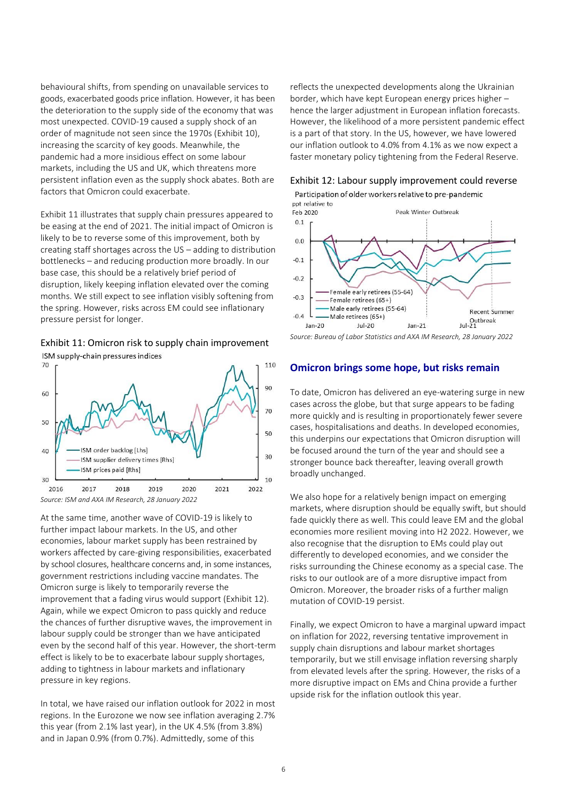behavioural shifts, from spending on unavailable services to goods, exacerbated goods price inflation. However, it has been the deterioration to the supply side of the economy that was most unexpected. COVID-19 caused a supply shock of an order of magnitude not seen since the 1970s [\(Exhibit 10\)](#page-4-0), increasing the scarcity of key goods. Meanwhile, the pandemic had a more insidious effect on some labour markets, including the US and UK, which threatens more persistent inflation even as the supply shock abates. Both are factors that Omicron could exacerbate.

[Exhibit 11](#page-5-0) illustrates that supply chain pressures appeared to be easing at the end of 2021. The initial impact of Omicron is likely to be to reverse some of this improvement, both by creating staff shortages across the US – adding to distribution bottlenecks – and reducing production more broadly. In our base case, this should be a relatively brief period of disruption, likely keeping inflation elevated over the coming months. We still expect to see inflation visibly softening from the spring. However, risks across EM could see inflationary pressure persist for longer.

<span id="page-5-0"></span>Exhibit 11: Omicron risk to supply chain improvement ISM supply-chain pressures indices



At the same time, another wave of COVID-19 is likely to further impact labour markets. In the US, and other economies, labour market supply has been restrained by workers affected by care-giving responsibilities, exacerbated by school closures, healthcare concerns and, in some instances, government restrictions including vaccine mandates. The Omicron surge is likely to temporarily reverse the improvement that a fading virus would support [\(Exhibit 12\)](#page-5-1). Again, while we expect Omicron to pass quickly and reduce the chances of further disruptive waves, the improvement in labour supply could be stronger than we have anticipated even by the second half of this year. However, the short-term effect is likely to be to exacerbate labour supply shortages, adding to tightness in labour markets and inflationary pressure in key regions.

In total, we have raised our inflation outlook for 2022 in most regions. In the Eurozone we now see inflation averaging 2.7% this year (from 2.1% last year), in the UK 4.5% (from 3.8%) and in Japan 0.9% (from 0.7%). Admittedly, some of this

reflects the unexpected developments along the Ukrainian border, which have kept European energy prices higher – hence the larger adjustment in European inflation forecasts. However, the likelihood of a more persistent pandemic effect is a part of that story. In the US, however, we have lowered our inflation outlook to 4.0% from 4.1% as we now expect a faster monetary policy tightening from the Federal Reserve.

<span id="page-5-1"></span>Exhibit 12: Labour supply improvement could reverse

Participation of older workers relative to pre-pandemic



*Source: Bureau of Labor Statistics and AXA IM Research, 28 January 2022*

### **Omicron brings some hope, but risks remain**

To date, Omicron has delivered an eye-watering surge in new cases across the globe, but that surge appears to be fading more quickly and is resulting in proportionately fewer severe cases, hospitalisations and deaths. In developed economies, this underpins our expectations that Omicron disruption will be focused around the turn of the year and should see a stronger bounce back thereafter, leaving overall growth broadly unchanged.

We also hope for a relatively benign impact on emerging markets, where disruption should be equally swift, but should fade quickly there as well. This could leave EM and the global economies more resilient moving into H2 2022. However, we also recognise that the disruption to EMs could play out differently to developed economies, and we consider the risks surrounding the Chinese economy as a special case. The risks to our outlook are of a more disruptive impact from Omicron. Moreover, the broader risks of a further malign mutation of COVID-19 persist.

Finally, we expect Omicron to have a marginal upward impact on inflation for 2022, reversing tentative improvement in supply chain disruptions and labour market shortages temporarily, but we still envisage inflation reversing sharply from elevated levels after the spring. However, the risks of a more disruptive impact on EMs and China provide a further upside risk for the inflation outlook this year.